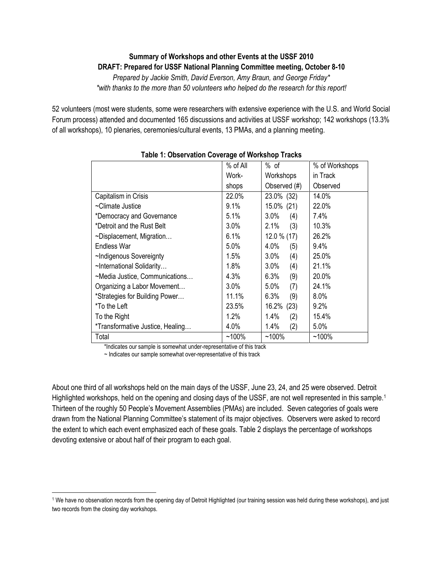## **Summary of Workshops and other Events at the USSF 2010 DRAFT: Prepared for USSF National Planning Committee meeting, October 8-10**

*Prepared by Jackie Smith, David Everson, Amy Braun, and George Friday\* \*with thanks to the more than 50 volunteers who helped do the research for this report!*

52 volunteers (most were students, some were researchers with extensive experience with the U.S. and World Social Forum process) attended and documented 165 discussions and activities at USSF workshop; 142 workshops (13.3% of all workshops), 10 plenaries, ceremonies/cultural events, 13 PMAs, and a planning meeting.

| <b>TANIC II ONOGI TANOH OOTGIAGO OF HOMOHOP HAOKO</b> |          |               |                |  |  |
|-------------------------------------------------------|----------|---------------|----------------|--|--|
|                                                       | % of All | $%$ of        | % of Workshops |  |  |
|                                                       | Work-    | Workshops     | in Track       |  |  |
|                                                       | shops    | Observed (#)  | Observed       |  |  |
| Capitalism in Crisis                                  | 22.0%    | 23.0% (32)    | 14.0%          |  |  |
| ~Climate Justice                                      | 9.1%     | 15.0% (21)    | 22.0%          |  |  |
| *Democracy and Governance                             | 5.1%     | 3.0%<br>(4)   | 7.4%           |  |  |
| *Detroit and the Rust Belt                            | 3.0%     | 2.1%<br>(3)   | 10.3%          |  |  |
| $\sim$ Displacement, Migration                        | 6.1%     | $12.0\%$ (17) | 26.2%          |  |  |
| Endless War                                           | 5.0%     | 4.0%<br>(5)   | 9.4%           |  |  |
| ~Indigenous Sovereignty                               | 1.5%     | 3.0%<br>(4)   | 25.0%          |  |  |
| ~International Solidarity                             | 1.8%     | 3.0%<br>(4)   | 21.1%          |  |  |
| ~Media Justice, Communications                        | 4.3%     | 6.3%<br>(9)   | 20.0%          |  |  |
| Organizing a Labor Movement                           | 3.0%     | 5.0%<br>(7)   | 24.1%          |  |  |
| *Strategies for Building Power                        | 11.1%    | 6.3%<br>(9)   | $8.0\%$        |  |  |
| *To the Left                                          | 23.5%    | 16.2%<br>(23) | 9.2%           |  |  |
| To the Right                                          | 1.2%     | 1.4%<br>(2)   | 15.4%          |  |  |
| *Transformative Justice, Healing                      | 4.0%     | 1.4%<br>(2)   | $5.0\%$        |  |  |
| Total                                                 | $~100\%$ | $~100\%$      | $~100\%$       |  |  |

### **Table 1: Observation Coverage of Workshop Tracks**

\*Indicates our sample is somewhat under-representative of this track

~ Indicates our sample somewhat over-representative of this track

l

About one third of all workshops held on the main days of the USSF, June 23, 24, and 25 were observed. Detroit Highlighted workshops, held on the opening and closing days of the USSF, are not well represented in this sample.<sup>1</sup> Thirteen of the roughly 50 People's Movement Assemblies (PMAs) are included.Seven categories of goals were drawn from the National Planning Committee's statement of its major objectives. Observers were asked to record the extent to which each event emphasized each of these goals. Table 2 displays the percentage of workshops devoting extensive or about half of their program to each goal.

<sup>1</sup> We have no observation records from the opening day of Detroit Highlighted (our training session was held during these workshops), and just two records from the closing day workshops.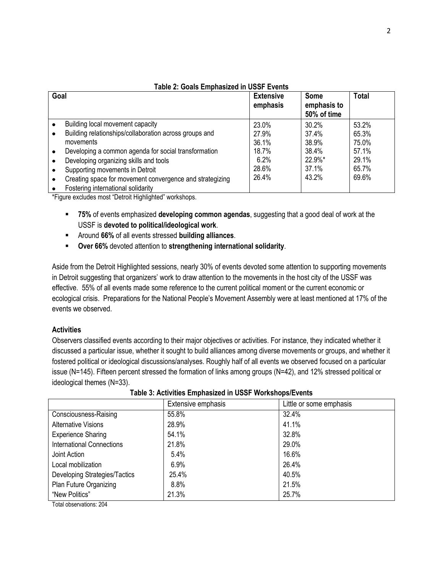| Goal |                                                          | <b>Extensive</b><br>emphasis | <b>Some</b><br>emphasis to<br>50% of time | <b>Total</b> |
|------|----------------------------------------------------------|------------------------------|-------------------------------------------|--------------|
|      | Building local movement capacity                         | 23.0%                        | 30.2%                                     | 53.2%        |
|      | Building relationships/collaboration across groups and   | 27.9%                        | 37.4%                                     | 65.3%        |
|      | movements                                                | 36.1%                        | 38.9%                                     | 75.0%        |
|      | Developing a common agenda for social transformation     | 18.7%                        | 38.4%                                     | 57.1%        |
|      | Developing organizing skills and tools                   | 6.2%                         | 22.9%*                                    | 29.1%        |
|      | Supporting movements in Detroit                          | 28.6%                        | 37.1%                                     | 65.7%        |
|      | Creating space for movement convergence and strategizing | 26.4%                        | 43.2%                                     | 69.6%        |
|      | Fostering international solidarity                       |                              |                                           |              |

# **Table 2: Goals Emphasized in USSF Events**

\*Figure excludes most "Detroit Highlighted" workshops.

- **75%** of events emphasized **developing common agendas**, suggesting that a good deal of work at the USSF is **devoted to political/ideological work**.
- Around **66%** of all events stressed **building alliances**.
- **Over 66%** devoted attention to **strengthening international solidarity**.

Aside from the Detroit Highlighted sessions, nearly 30% of events devoted some attention to supporting movements in Detroit suggesting that organizers' work to draw attention to the movements in the host city of the USSF was effective. 55% of all events made some reference to the current political moment or the current economic or ecological crisis. Preparations for the National People's Movement Assembly were at least mentioned at 17% of the events we observed.

#### **Activities**

Observers classified events according to their major objectives or activities. For instance, they indicated whether it discussed a particular issue, whether it sought to build alliances among diverse movements or groups, and whether it fostered political or ideological discussions/analyses. Roughly half of all events we observed focused on a particular issue (N=145). Fifteen percent stressed the formation of links among groups (N=42), and 12% stressed political or ideological themes (N=33).

|                               | Extensive emphasis | Little or some emphasis |
|-------------------------------|--------------------|-------------------------|
| Consciousness-Raising         | 55.8%              | 32.4%                   |
| <b>Alternative Visions</b>    | 28.9%              | 41.1%                   |
| <b>Experience Sharing</b>     | 54.1%              | 32.8%                   |
| International Connections     | 21.8%              | 29.0%                   |
| Joint Action                  | 5.4%               | 16.6%                   |
| Local mobilization            | 6.9%               | 26.4%                   |
| Developing Strategies/Tactics | 25.4%              | 40.5%                   |
| Plan Future Organizing        | 8.8%               | 21.5%                   |
| "New Politics"                | 21.3%              | 25.7%                   |

**Table 3: Activities Emphasized in USSF Workshops/Events**

Total observations: 204